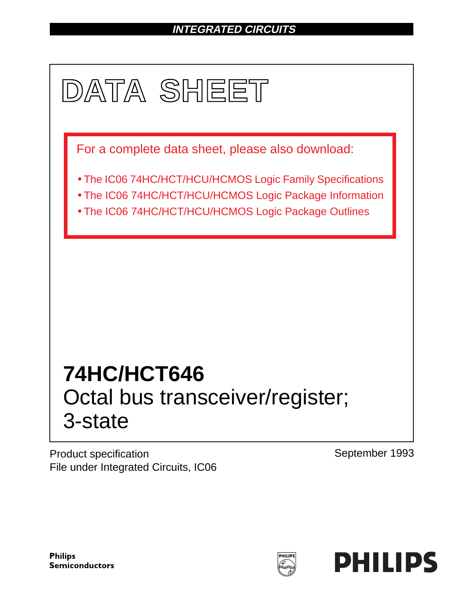# **INTEGRATED CIRCUITS**



Product specification File under Integrated Circuits, IC06 September 1993

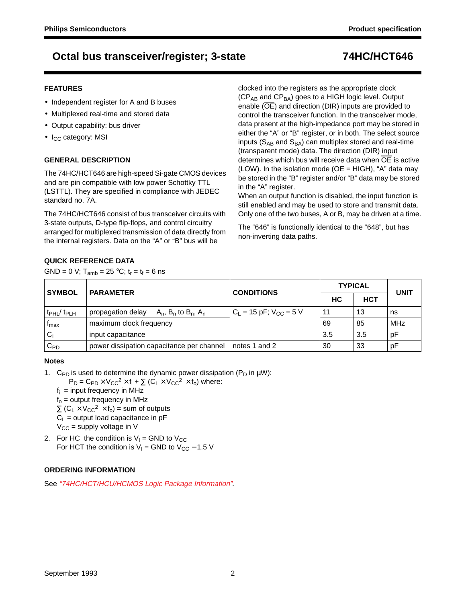### **FEATURES**

- Independent register for A and B buses
- Multiplexed real-time and stored data
- Output capability: bus driver
- I<sub>CC</sub> category: MSI

## **GENERAL DESCRIPTION**

The 74HC/HCT646 are high-speed Si-gate CMOS devices and are pin compatible with low power Schottky TTL (LSTTL). They are specified in compliance with JEDEC standard no. 7A.

The 74HC/HCT646 consist of bus transceiver circuits with 3-state outputs, D-type flip-flops, and control circuitry arranged for multiplexed transmission of data directly from the internal registers. Data on the "A" or "B" bus will be

clocked into the registers as the appropriate clock  $(CP_{AB}$  and  $CP_{BA}$ ) goes to a HIGH logic level. Output enable (OE) and direction (DIR) inputs are provided to control the transceiver function. In the transceiver mode, data present at the high-impedance port may be stored in either the "A" or "B" register, or in both. The select source inputs ( $S_{AB}$  and  $S_{BA}$ ) can multiplex stored and real-time (transparent mode) data. The direction (DIR) input determines which bus will receive data when OE is active (LOW). In the isolation mode ( $\overline{OE}$  = HIGH), "A" data may be stored in the "B" register and/or "B" data may be stored in the "A" register.

When an output function is disabled, the input function is still enabled and may be used to store and transmit data. Only one of the two buses, A or B, may be driven at a time.

The "646" is functionally identical to the "648", but has non-inverting data paths.

## **QUICK REFERENCE DATA**

GND = 0 V;  $T_{amb}$  = 25 °C;  $t_r = t_f = 6$  ns

| <b>SYMBOL</b>                       | <b>PARAMETER</b>                                    | <b>CONDITIONS</b>               | <b>TYPICAL</b> | <b>UNIT</b> |            |
|-------------------------------------|-----------------------------------------------------|---------------------------------|----------------|-------------|------------|
|                                     |                                                     |                                 | HC             | <b>HCT</b>  |            |
| t <sub>PHL</sub> / t <sub>PLH</sub> | propagation delay<br>$A_n$ , $B_n$ to $B_n$ , $A_n$ | $C_{L}$ = 15 pF; $V_{CC}$ = 5 V | 11             | 13          | ns         |
| <sup>I</sup> max                    | maximum clock frequency                             |                                 | 69             | 85          | <b>MHz</b> |
| $C_1$                               | input capacitance                                   |                                 | 3.5            | 3.5         | рF         |
| $C_{PD}$                            | power dissipation capacitance per channel           | notes 1 and 2                   | 30             | 33          | рF         |

### **Notes**

1. C<sub>PD</sub> is used to determine the dynamic power dissipation (P<sub>D</sub> in  $\mu$ W):

 $P_D = C_{PD} \times V_{CC}^2 \times f_i + \sum (C_L \times V_{CC}^2 \times f_o)$  where:

 $f_i$  = input frequency in MHz

- $f<sub>o</sub>$  = output frequency in MHz
- $\Sigma$  (C<sub>L</sub> × V<sub>CC</sub><sup>2</sup> × f<sub>o</sub>) = sum of outputs
- $C_L$  = output load capacitance in pF
- $V_{CC}$  = supply voltage in V
- 2. For HC the condition is  $V_1$  = GND to  $V_{CC}$ For HCT the condition is  $V_1$  = GND to  $V_{CC}$  – 1.5 V

## **ORDERING INFORMATION**

See "74HC/HCT/HCU/HCMOS Logic Package Information".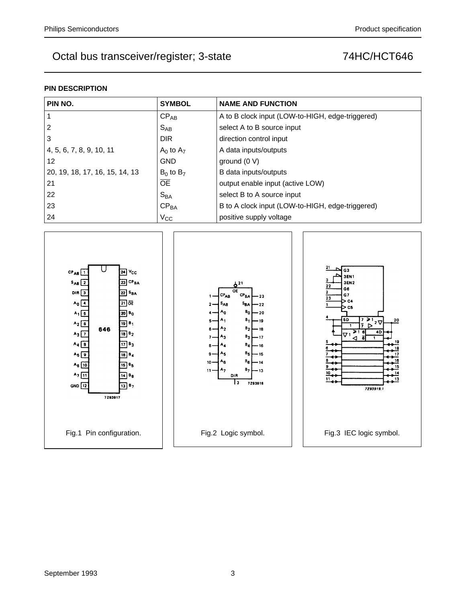## **PIN DESCRIPTION**

| PIN NO.                        | <b>SYMBOL</b>    | <b>NAME AND FUNCTION</b>                         |
|--------------------------------|------------------|--------------------------------------------------|
|                                | $CP_{AB}$        | A to B clock input (LOW-to-HIGH, edge-triggered) |
| $\overline{2}$                 | $S_{AB}$         | select A to B source input                       |
| 3                              | <b>DIR</b>       | direction control input                          |
| 4, 5, 6, 7, 8, 9, 10, 11       | $A_0$ to $A_7$   | A data inputs/outputs                            |
| 12                             | <b>GND</b>       | ground $(0 V)$                                   |
| 20, 19, 18, 17, 16, 15, 14, 13 | $B_0$ to $B_7$   | B data inputs/outputs                            |
| 21                             | <b>OE</b>        | output enable input (active LOW)                 |
| 22                             | $S_{BA}$         | select B to A source input                       |
| 23                             | CP <sub>BA</sub> | B to A clock input (LOW-to-HIGH, edge-triggered) |
| 24                             | $V_{\rm CC}$     | positive supply voltage                          |

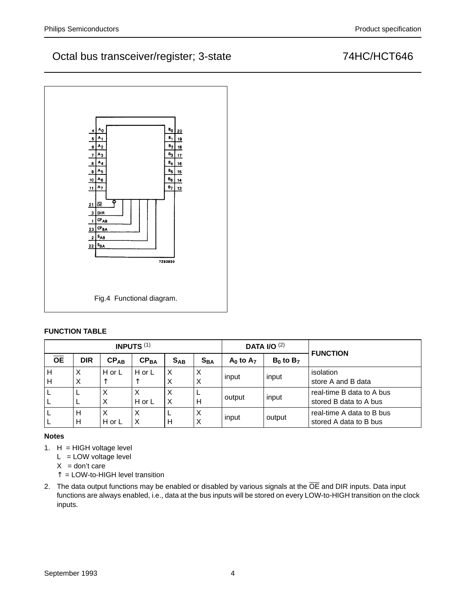

## **FUNCTION TABLE**

|                 |            |           | <b>INPUTS (1)</b> |          |                            |                 | <b>DATA I/O (2)</b> | <b>FUNCTION</b>           |  |  |
|-----------------|------------|-----------|-------------------|----------|----------------------------|-----------------|---------------------|---------------------------|--|--|
| $\overline{OE}$ | <b>DIR</b> | $CP_{AB}$ | CP <sub>BA</sub>  | $S_{AB}$ | $\mathbf{S}_{\mathsf{BA}}$ | $A_0$ to $A_7$  | $B_0$ to $B_7$      |                           |  |  |
| Н               | X          | H or L    | H or L            | Х        | X                          | input<br>input  |                     | isolation                 |  |  |
| н               | X          | ᄉ         |                   | X        | Χ                          |                 |                     | store A and B data        |  |  |
|                 | ╺          | Х         | Х                 | X        |                            | input<br>output |                     | real-time B data to A bus |  |  |
|                 |            | X         | H or L            | Χ        | Н                          |                 |                     | stored B data to A bus    |  |  |
|                 | H          | X         | X                 |          | X                          | input           | output              | real-time A data to B bus |  |  |
|                 | Н          | H or L    | Χ                 | н        | X                          |                 |                     | stored A data to B bus    |  |  |

## **Notes**

- 1.  $H = HIGH$  voltage level
	- $L = LOW$  voltage level
	- $X =$  don't care
	- ↑ = LOW-to-HIGH level transition
- 2. The data output functions may be enabled or disabled by various signals at the  $\overline{OE}$  and DIR inputs. Data input functions are always enabled, i.e., data at the bus inputs will be stored on every LOW-to-HIGH transition on the clock inputs.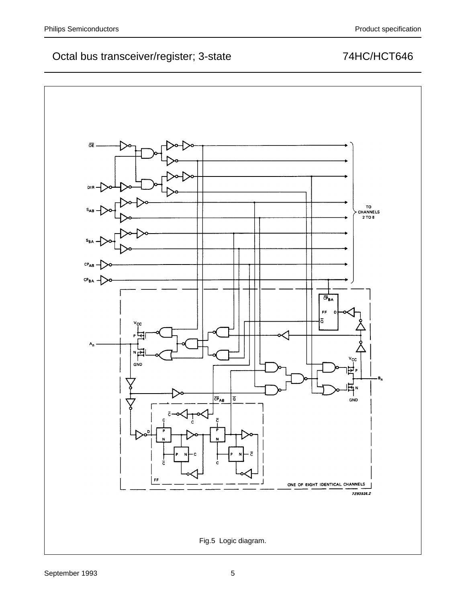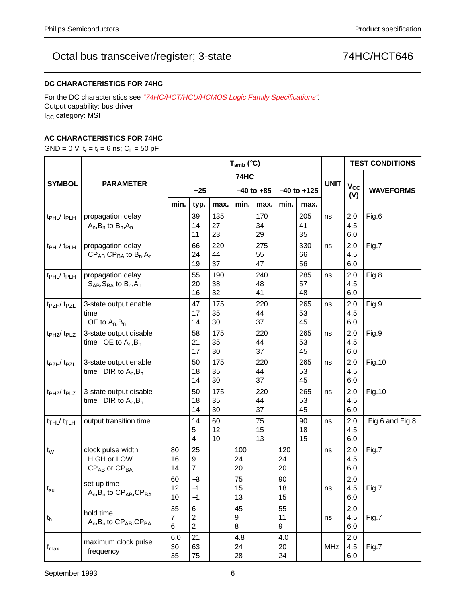## **DC CHARACTERISTICS FOR 74HC**

For the DC characteristics see "74HC/HCT/HCU/HCMOS Logic Family Specifications". Output capability: bus driver I<sub>CC</sub> category: MSI

### **AC CHARACTERISTICS FOR 74HC**

GND = 0 V;  $t_r = t_f = 6$  ns;  $C_L = 50$  pF

|                                        |                                                                       |                           |                                       |                 | $T_{amb}$ ( $°C$ ) |                 |                 |                 |             | <b>TEST CONDITIONS</b> |                  |
|----------------------------------------|-----------------------------------------------------------------------|---------------------------|---------------------------------------|-----------------|--------------------|-----------------|-----------------|-----------------|-------------|------------------------|------------------|
|                                        | <b>PARAMETER</b>                                                      | 74HC                      |                                       |                 |                    |                 |                 |                 | <b>UNIT</b> |                        |                  |
| <b>SYMBOL</b>                          |                                                                       | $+25$                     |                                       |                 | $-40$ to $+85$     |                 |                 | $-40$ to $+125$ |             | $V_{CC}$<br>(V)        | <b>WAVEFORMS</b> |
|                                        |                                                                       | min.                      | typ.                                  | max.            | min.               | max.            | min.            | max.            |             |                        |                  |
| t <sub>PHL</sub> /t <sub>PLH</sub>     | propagation delay<br>$A_n$ , $B_n$ to $B_n$ , $A_n$                   |                           | 39<br>14<br>11                        | 135<br>27<br>23 |                    | 170<br>34<br>29 |                 | 205<br>41<br>35 | ns          | 2.0<br>4.5<br>6.0      | Fig.6            |
| t <sub>PHL</sub> / t <sub>PLH</sub>    | propagation delay<br>$CP_{AB}$ , $CP_{BA}$ to $B_n$ , $A_n$           |                           | 66<br>24<br>19                        | 220<br>44<br>37 |                    | 275<br>55<br>47 |                 | 330<br>66<br>56 | ns          | 2.0<br>4.5<br>6.0      | Fig.7            |
| t <sub>PHL</sub> / t <sub>PLH</sub>    | propagation delay<br>$S_{AB}$ , $S_{BA}$ to $B_n$ , $A_n$             |                           | 55<br>20<br>16                        | 190<br>38<br>32 |                    | 240<br>48<br>41 |                 | 285<br>57<br>48 | ns          | 2.0<br>4.5<br>6.0      | Fig.8            |
| t <sub>PZH</sub> / t <sub>PZL</sub>    | 3-state output enable<br>time<br>$\overline{OE}$ to $A_n, B_n$        |                           | 47<br>17<br>14                        | 175<br>35<br>30 |                    | 220<br>44<br>37 |                 | 265<br>53<br>45 | ns          | 2.0<br>4.5<br>6.0      | Fig.9            |
| t <sub>PHZ</sub> /t <sub>PLZ</sub>     | 3-state output disable<br>time $OE$ to $A_n, B_n$                     |                           | 58<br>21<br>17                        | 175<br>35<br>30 |                    | 220<br>44<br>37 |                 | 265<br>53<br>45 | ns          | 2.0<br>4.5<br>6.0      | Fig.9            |
| $t_{PZH}/t_{PZL}$                      | 3-state output enable<br>time $DIR to A_n, B_n$                       |                           | 50<br>18<br>14                        | 175<br>35<br>30 |                    | 220<br>44<br>37 |                 | 265<br>53<br>45 | ns          | 2.0<br>4.5<br>6.0      | <b>Fig.10</b>    |
| t <sub>PHZ</sub> /t <sub>PLZ</sub>     | 3-state output disable<br>time $DIR to A_n, B_n$                      |                           | 50<br>18<br>14                        | 175<br>35<br>30 |                    | 220<br>44<br>37 |                 | 265<br>53<br>45 | ns          | 2.0<br>4.5<br>6.0      | <b>Fig.10</b>    |
| $t$ <sub>THL</sub> $/t$ <sub>TLH</sub> | output transition time                                                |                           | 14<br>5<br>4                          | 60<br>12<br>10  |                    | 75<br>15<br>13  |                 | 90<br>18<br>15  | ns          | 2.0<br>4.5<br>6.0      | Fig.6 and Fig.8  |
| $t_{W}$                                | clock pulse width<br><b>HIGH or LOW</b><br>$CP_{AB}$ or $CP_{BA}$     | 80<br>16<br>14            | 25<br>9<br>7                          |                 | 100<br>24<br>20    |                 | 120<br>24<br>20 |                 | ns          | 2.0<br>4.5<br>6.0      | Fig.7            |
| $t_{\rm su}$                           | set-up time<br>$A_n$ , B <sub>n</sub> to $CP_{AB}$ , CP <sub>BA</sub> | 60<br>12<br>10            | $-3$<br>$-1$<br>$-1$                  |                 | 75<br>15<br>13     |                 | 90<br>18<br>15  |                 | ns          | 2.0<br>4.5<br>$6.0\,$  | Fig.7            |
| $t_h$                                  | hold time<br>$A_n$ , $B_n$ to $CP_{AB}$ , $CP_{BA}$                   | 35<br>$\overline{7}$<br>6 | 6<br>$\overline{c}$<br>$\overline{2}$ |                 | 45<br>9<br>8       |                 | 55<br>11<br>9   |                 | ns          | 2.0<br>4.5<br>6.0      | Fig.7            |
| $f_{\sf max}$                          | maximum clock pulse<br>frequency                                      | 6.0<br>30<br>35           | 21<br>63<br>75                        |                 | 4.8<br>24<br>28    |                 | 4.0<br>20<br>24 |                 | <b>MHz</b>  | 2.0<br>4.5<br>6.0      | Fig.7            |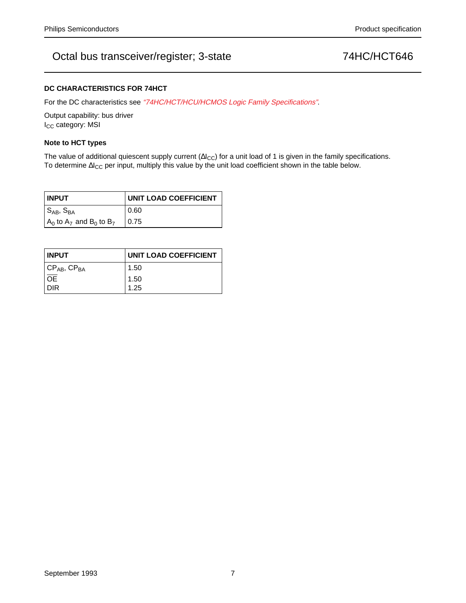### **DC CHARACTERISTICS FOR 74HCT**

For the DC characteristics see "74HC/HCT/HCU/HCMOS Logic Family Specifications".

Output capability: bus driver I<sub>CC</sub> category: MSI

### **Note to HCT types**

The value of additional quiescent supply current ( $\Delta I_{CC}$ ) for a unit load of 1 is given in the family specifications. To determine ∆I<sub>CC</sub> per input, multiply this value by the unit load coefficient shown in the table below.

| <b>INPUT</b>                      | <b>UNIT LOAD COEFFICIENT</b> |
|-----------------------------------|------------------------------|
| $ S_{AB},S_{BA} $                 | 0.60                         |
| $A_0$ to $A_7$ and $B_0$ to $B_7$ | 0.75                         |

| <b>INPUT</b>                                | UNIT LOAD COEFFICIENT |
|---------------------------------------------|-----------------------|
| $\vert$ CP <sub>AB</sub> , CP <sub>BA</sub> | 1.50                  |
| l oe                                        | 1.50                  |
| DIR                                         | 1.25                  |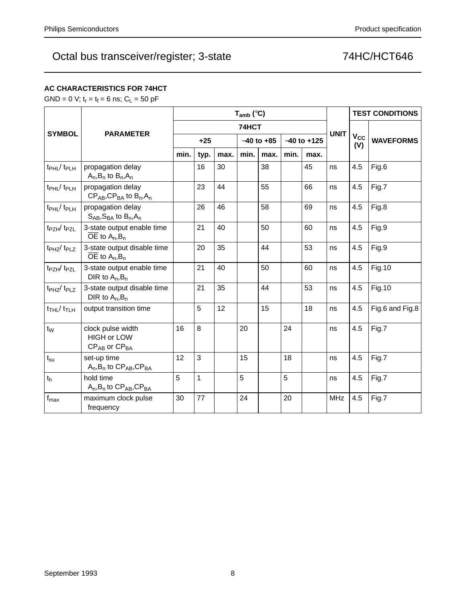## **AC CHARACTERISTICS FOR 74HCT**

GND = 0 V;  $t_r = t_f = 6$  ns;  $C_L = 50$  pF

|                                    | <b>PARAMETER</b>                                                  | $T_{amb}$ (°C) |      |      |                |      |                 |      |             |                 | <b>TEST CONDITIONS</b> |
|------------------------------------|-------------------------------------------------------------------|----------------|------|------|----------------|------|-----------------|------|-------------|-----------------|------------------------|
| <b>SYMBOL</b>                      |                                                                   | 74HCT          |      |      |                |      |                 |      |             |                 |                        |
|                                    |                                                                   | $+25$          |      |      | $-40$ to $+85$ |      | $-40$ to $+125$ |      | <b>UNIT</b> | $V_{CC}$<br>(V) | <b>WAVEFORMS</b>       |
|                                    |                                                                   | min.           | typ. | max. | min.           | max. | min.            | max. |             |                 |                        |
| t <sub>PHL</sub> /t <sub>PLH</sub> | propagation delay<br>$A_n$ , $B_n$ to $B_n$ , $A_n$               |                | 16   | 30   |                | 38   |                 | 45   | ns          | 4.5             | Fig.6                  |
| t <sub>PHL</sub> /t <sub>PLH</sub> | propagation delay<br>$CP_{AB}$ , $CP_{BA}$ to $B_n$ , $A_n$       |                | 23   | 44   |                | 55   |                 | 66   | ns          | 4.5             | Fig.7                  |
| $t_{\rm PHL}$ / $t_{\rm PLH}$      | propagation delay<br>$S_{AB}$ , $S_{BA}$ to $B_n$ , $A_n$         |                | 26   | 46   |                | 58   |                 | 69   | ns          | 4.5             | Fig.8                  |
| t <sub>PZH</sub> /t <sub>PZL</sub> | 3-state output enable time<br>$\overline{OE}$ to $A_n, B_n$       |                | 21   | 40   |                | 50   |                 | 60   | ns          | 4.5             | Fig.9                  |
| t <sub>PHZ</sub> /t <sub>PLZ</sub> | 3-state output disable time<br>OE to $A_n, B_n$                   |                | 20   | 35   |                | 44   |                 | 53   | ns          | 4.5             | Fig.9                  |
| $t_{PZH}/t_{PZL}$                  | 3-state output enable time<br>DIR to $A_n, B_n$                   |                | 21   | 40   |                | 50   |                 | 60   | ns          | 4.5             | <b>Fig.10</b>          |
| t <sub>PHZ</sub> /t <sub>PLZ</sub> | 3-state output disable time<br>DIR to $A_n, B_n$                  |                | 21   | 35   |                | 44   |                 | 53   | ns          | 4.5             | <b>Fig.10</b>          |
| $t$ THL $/$ $t$ TLH                | output transition time                                            |                | 5    | 12   |                | 15   |                 | 18   | ns          | 4.5             | Fig.6 and Fig.8        |
| $t_{W}$                            | clock pulse width<br><b>HIGH or LOW</b><br>$CP_{AB}$ or $CP_{BA}$ | 16             | 8    |      | 20             |      | 24              |      | ns          | 4.5             | Fig.7                  |
| $t_{\rm su}$                       | set-up time<br>$A_n$ , $B_n$ to $CP_{AB}$ , $CP_{BA}$             | 12             | 3    |      | 15             |      | 18              |      | ns          | 4.5             | Fig.7                  |
| $t_h$                              | hold time<br>$A_n$ , $B_n$ to $CP_{AB}$ , $CP_{BA}$               | 5              | 1    |      | 5              |      | 5               |      | ns          | 4.5             | Fig.7                  |
| $f_{\text{max}}$                   | maximum clock pulse<br>frequency                                  | 30             | 77   |      | 24             |      | 20              |      | <b>MHz</b>  | 4.5             | Fig.7                  |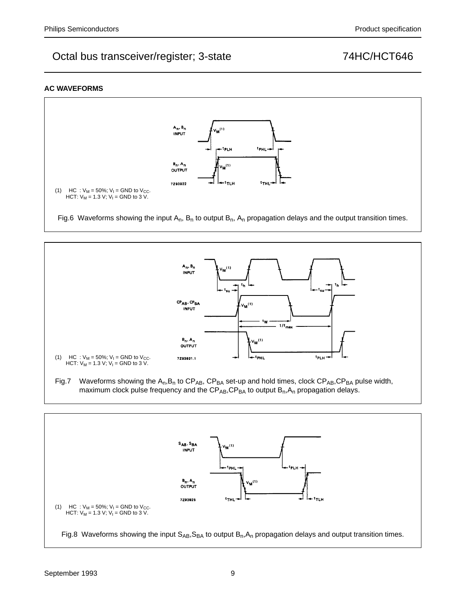### **AC WAVEFORMS**





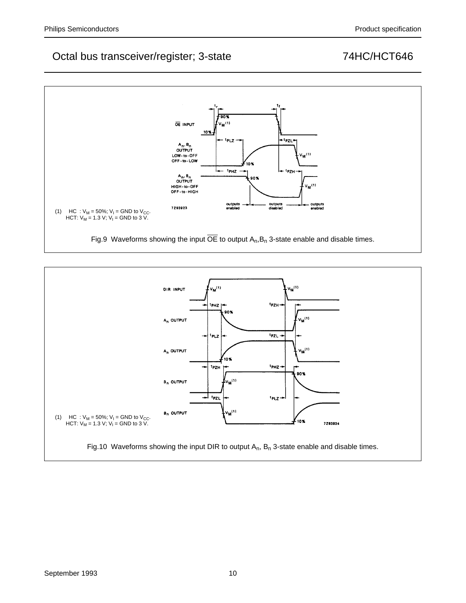

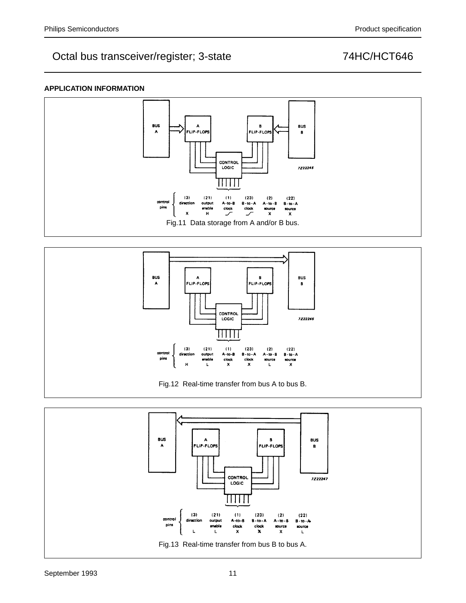## **APPLICATION INFORMATION**